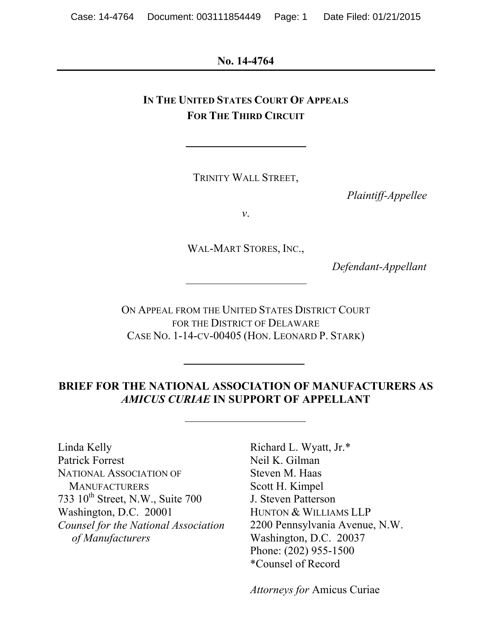#### **No. 14-4764**

# **IN THE UNITED STATES COURT OF APPEALS FOR THE THIRD CIRCUIT**

TRINITY WALL STREET,

*Plaintiff-Appellee*

*v*.

WAL-MART STORES, INC.,

*Defendant-Appellant* 

ON APPEAL FROM THE UNITED STATES DISTRICT COURT FOR THE DISTRICT OF DELAWARE CASE NO. 1-14-CV-00405 (HON. LEONARD P. STARK)

## **BRIEF FOR THE NATIONAL ASSOCIATION OF MANUFACTURERS AS**  *AMICUS CURIAE* **IN SUPPORT OF APPELLANT**

Linda Kelly Patrick Forrest NATIONAL ASSOCIATION OF **MANUFACTURERS** 733  $10^{th}$  Street, N.W., Suite 700 Washington, D.C. 20001 *Counsel for the National Association of Manufacturers* 

Richard L. Wyatt, Jr.\* Neil K. Gilman Steven M. Haas Scott H. Kimpel J. Steven Patterson HUNTON & WILLIAMS LLP 2200 Pennsylvania Avenue, N.W. Washington, D.C. 20037 Phone: (202) 955-1500 \*Counsel of Record

*Attorneys for* Amicus Curiae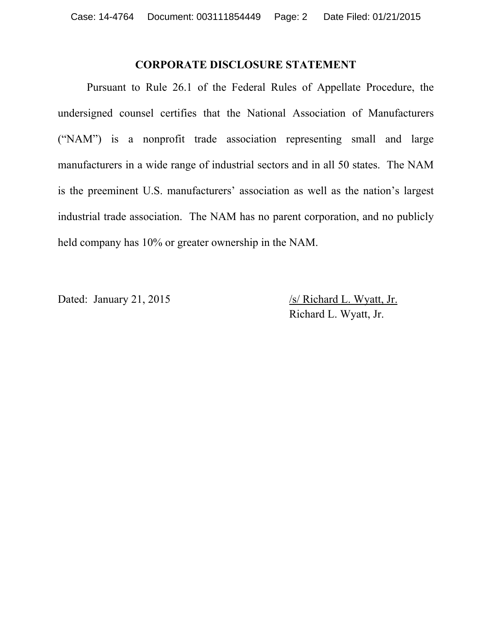### **CORPORATE DISCLOSURE STATEMENT**

 Pursuant to Rule 26.1 of the Federal Rules of Appellate Procedure, the undersigned counsel certifies that the National Association of Manufacturers ("NAM") is a nonprofit trade association representing small and large manufacturers in a wide range of industrial sectors and in all 50 states. The NAM is the preeminent U.S. manufacturers' association as well as the nation's largest industrial trade association. The NAM has no parent corporation, and no publicly held company has 10% or greater ownership in the NAM.

Dated: January 21, 2015 /s/ Richard L. Wyatt, Jr.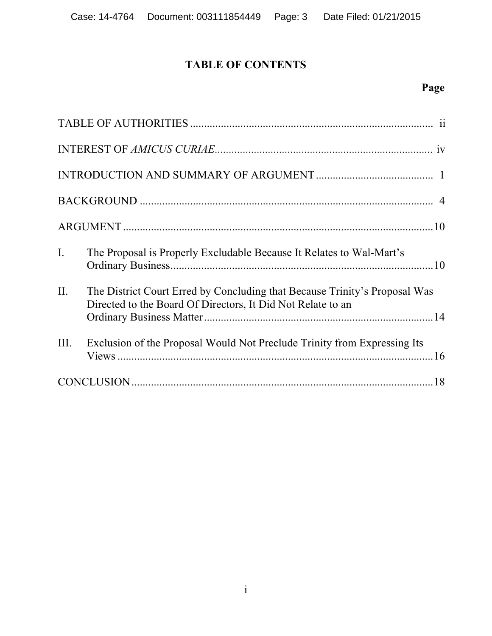# **TABLE OF CONTENTS**

# **Page**

| I.   | The Proposal is Properly Excludable Because It Relates to Wal-Mart's                                                                      |
|------|-------------------------------------------------------------------------------------------------------------------------------------------|
| II.  | The District Court Erred by Concluding that Because Trinity's Proposal Was<br>Directed to the Board Of Directors, It Did Not Relate to an |
| III. | Exclusion of the Proposal Would Not Preclude Trinity from Expressing Its                                                                  |
|      |                                                                                                                                           |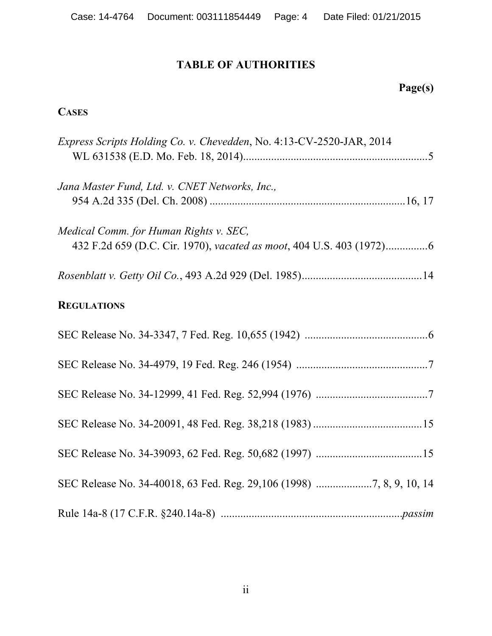# **TABLE OF AUTHORITIES**

# **Page(s)**

# **CASES**

| Express Scripts Holding Co. v. Chevedden, No. 4:13-CV-2520-JAR, 2014 |
|----------------------------------------------------------------------|
| Jana Master Fund, Ltd. v. CNET Networks, Inc.,                       |
| Medical Comm. for Human Rights v. SEC,                               |
|                                                                      |
| <b>REGULATIONS</b>                                                   |
|                                                                      |
|                                                                      |
|                                                                      |
|                                                                      |
|                                                                      |
|                                                                      |
|                                                                      |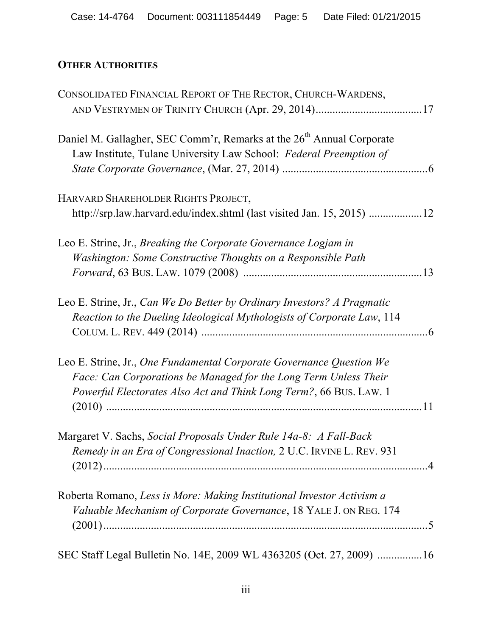# **OTHER AUTHORITIES**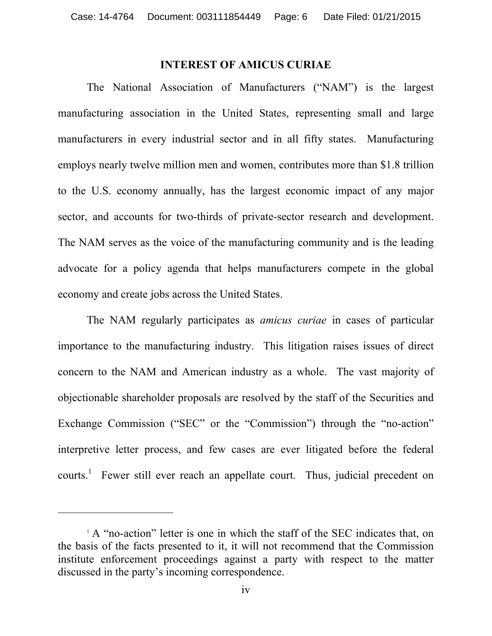#### **INTEREST OF AMICUS CURIAE**

 The National Association of Manufacturers ("NAM") is the largest manufacturing association in the United States, representing small and large manufacturers in every industrial sector and in all fifty states. Manufacturing employs nearly twelve million men and women, contributes more than \$1.8 trillion to the U.S. economy annually, has the largest economic impact of any major sector, and accounts for two-thirds of private-sector research and development. The NAM serves as the voice of the manufacturing community and is the leading advocate for a policy agenda that helps manufacturers compete in the global economy and create jobs across the United States.

 The NAM regularly participates as *amicus curiae* in cases of particular importance to the manufacturing industry. This litigation raises issues of direct concern to the NAM and American industry as a whole. The vast majority of objectionable shareholder proposals are resolved by the staff of the Securities and Exchange Commission ("SEC" or the "Commission") through the "no-action" interpretive letter process, and few cases are ever litigated before the federal courts.<sup>1</sup> Fewer still ever reach an appellate court. Thus, judicial precedent on

l

<sup>&</sup>lt;sup>1</sup> A "no-action" letter is one in which the staff of the SEC indicates that, on the basis of the facts presented to it, it will not recommend that the Commission institute enforcement proceedings against a party with respect to the matter discussed in the party's incoming correspondence.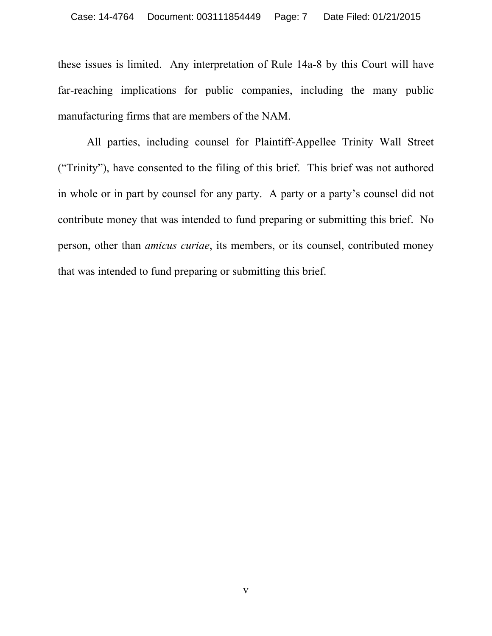these issues is limited. Any interpretation of Rule 14a-8 by this Court will have far-reaching implications for public companies, including the many public manufacturing firms that are members of the NAM.

 All parties, including counsel for Plaintiff-Appellee Trinity Wall Street ("Trinity"), have consented to the filing of this brief. This brief was not authored in whole or in part by counsel for any party. A party or a party's counsel did not contribute money that was intended to fund preparing or submitting this brief. No person, other than *amicus curiae*, its members, or its counsel, contributed money that was intended to fund preparing or submitting this brief.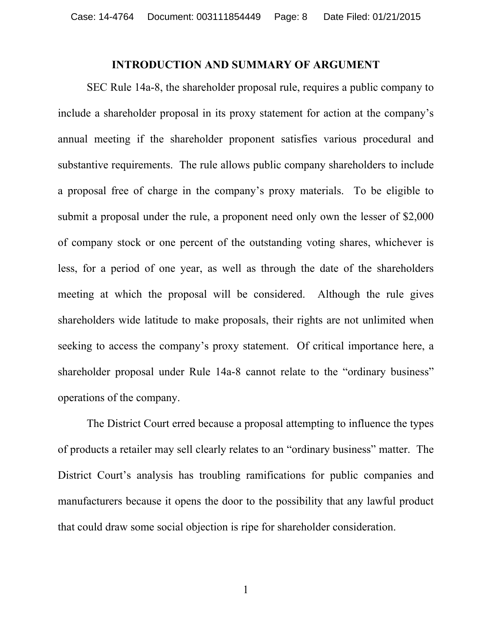### **INTRODUCTION AND SUMMARY OF ARGUMENT**

SEC Rule 14a-8, the shareholder proposal rule, requires a public company to include a shareholder proposal in its proxy statement for action at the company's annual meeting if the shareholder proponent satisfies various procedural and substantive requirements. The rule allows public company shareholders to include a proposal free of charge in the company's proxy materials. To be eligible to submit a proposal under the rule, a proponent need only own the lesser of \$2,000 of company stock or one percent of the outstanding voting shares, whichever is less, for a period of one year, as well as through the date of the shareholders meeting at which the proposal will be considered. Although the rule gives shareholders wide latitude to make proposals, their rights are not unlimited when seeking to access the company's proxy statement. Of critical importance here, a shareholder proposal under Rule 14a-8 cannot relate to the "ordinary business" operations of the company.

 The District Court erred because a proposal attempting to influence the types of products a retailer may sell clearly relates to an "ordinary business" matter. The District Court's analysis has troubling ramifications for public companies and manufacturers because it opens the door to the possibility that any lawful product that could draw some social objection is ripe for shareholder consideration.

1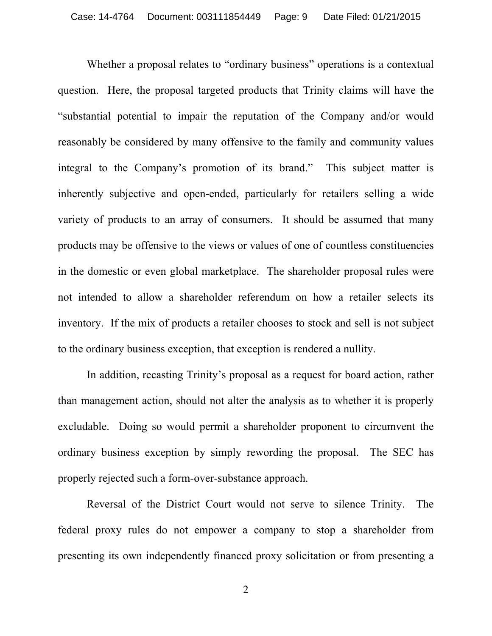Whether a proposal relates to "ordinary business" operations is a contextual question. Here, the proposal targeted products that Trinity claims will have the "substantial potential to impair the reputation of the Company and/or would reasonably be considered by many offensive to the family and community values integral to the Company's promotion of its brand." This subject matter is inherently subjective and open-ended, particularly for retailers selling a wide variety of products to an array of consumers. It should be assumed that many products may be offensive to the views or values of one of countless constituencies in the domestic or even global marketplace. The shareholder proposal rules were not intended to allow a shareholder referendum on how a retailer selects its inventory. If the mix of products a retailer chooses to stock and sell is not subject to the ordinary business exception, that exception is rendered a nullity.

 In addition, recasting Trinity's proposal as a request for board action, rather than management action, should not alter the analysis as to whether it is properly excludable. Doing so would permit a shareholder proponent to circumvent the ordinary business exception by simply rewording the proposal. The SEC has properly rejected such a form-over-substance approach.

 Reversal of the District Court would not serve to silence Trinity. The federal proxy rules do not empower a company to stop a shareholder from presenting its own independently financed proxy solicitation or from presenting a

2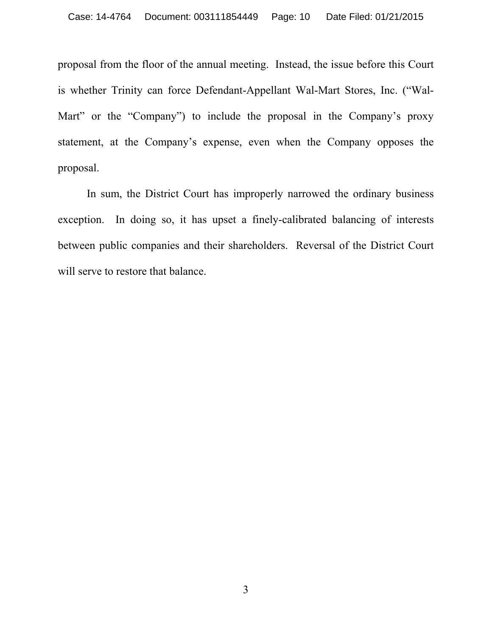proposal from the floor of the annual meeting. Instead, the issue before this Court is whether Trinity can force Defendant-Appellant Wal-Mart Stores, Inc. ("Wal-Mart" or the "Company") to include the proposal in the Company's proxy statement, at the Company's expense, even when the Company opposes the proposal.

 In sum, the District Court has improperly narrowed the ordinary business exception. In doing so, it has upset a finely-calibrated balancing of interests between public companies and their shareholders. Reversal of the District Court will serve to restore that balance.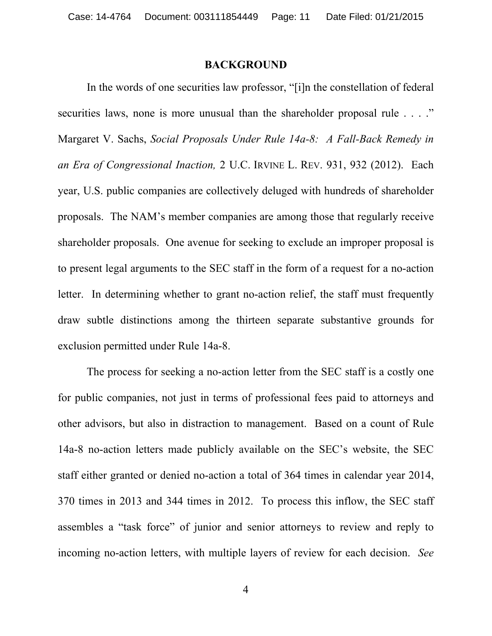#### **BACKGROUND**

 In the words of one securities law professor, "[i]n the constellation of federal securities laws, none is more unusual than the shareholder proposal rule . . . ." Margaret V. Sachs, *Social Proposals Under Rule 14a-8: A Fall-Back Remedy in an Era of Congressional Inaction,* 2 U.C. IRVINE L. REV. 931, 932 (2012). Each year, U.S. public companies are collectively deluged with hundreds of shareholder proposals. The NAM's member companies are among those that regularly receive shareholder proposals. One avenue for seeking to exclude an improper proposal is to present legal arguments to the SEC staff in the form of a request for a no-action letter. In determining whether to grant no-action relief, the staff must frequently draw subtle distinctions among the thirteen separate substantive grounds for exclusion permitted under Rule 14a-8.

 The process for seeking a no-action letter from the SEC staff is a costly one for public companies, not just in terms of professional fees paid to attorneys and other advisors, but also in distraction to management. Based on a count of Rule 14a-8 no-action letters made publicly available on the SEC's website, the SEC staff either granted or denied no-action a total of 364 times in calendar year 2014, 370 times in 2013 and 344 times in 2012. To process this inflow, the SEC staff assembles a "task force" of junior and senior attorneys to review and reply to incoming no-action letters, with multiple layers of review for each decision. *See*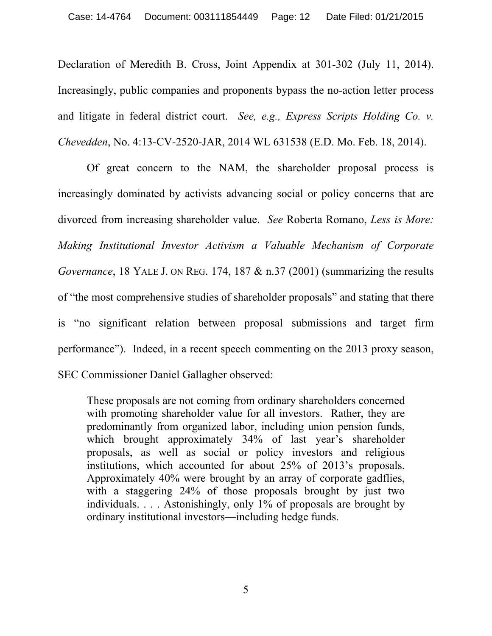Declaration of Meredith B. Cross, Joint Appendix at 301-302 (July 11, 2014). Increasingly, public companies and proponents bypass the no-action letter process and litigate in federal district court. *See, e.g., Express Scripts Holding Co. v. Chevedden*, No. 4:13-CV-2520-JAR, 2014 WL 631538 (E.D. Mo. Feb. 18, 2014).

 Of great concern to the NAM, the shareholder proposal process is increasingly dominated by activists advancing social or policy concerns that are divorced from increasing shareholder value. *See* Roberta Romano, *Less is More: Making Institutional Investor Activism a Valuable Mechanism of Corporate Governance*, 18 YALE J. ON REG. 174, 187 & n.37 (2001) (summarizing the results of "the most comprehensive studies of shareholder proposals" and stating that there is "no significant relation between proposal submissions and target firm performance"). Indeed, in a recent speech commenting on the 2013 proxy season, SEC Commissioner Daniel Gallagher observed:

These proposals are not coming from ordinary shareholders concerned with promoting shareholder value for all investors. Rather, they are predominantly from organized labor, including union pension funds, which brought approximately 34% of last year's shareholder proposals, as well as social or policy investors and religious institutions, which accounted for about 25% of 2013's proposals. Approximately 40% were brought by an array of corporate gadflies, with a staggering 24% of those proposals brought by just two individuals. . . . Astonishingly, only 1% of proposals are brought by ordinary institutional investors—including hedge funds.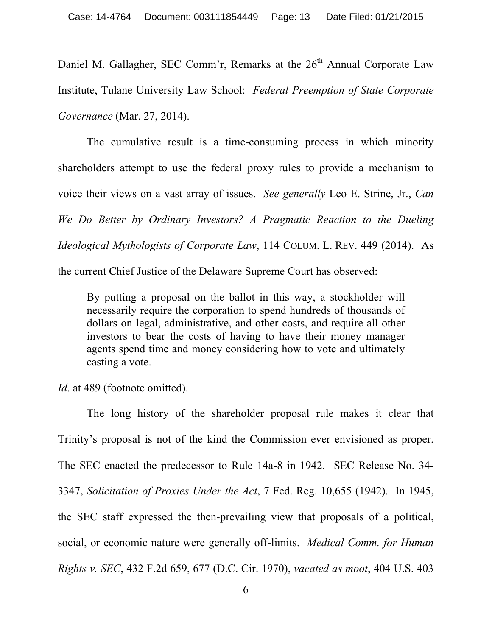Daniel M. Gallagher, SEC Comm'r, Remarks at the  $26<sup>th</sup>$  Annual Corporate Law Institute, Tulane University Law School: *Federal Preemption of State Corporate Governance* (Mar. 27, 2014).

 The cumulative result is a time-consuming process in which minority shareholders attempt to use the federal proxy rules to provide a mechanism to voice their views on a vast array of issues. *See generally* Leo E. Strine, Jr., *Can We Do Better by Ordinary Investors? A Pragmatic Reaction to the Dueling Ideological Mythologists of Corporate Law*, 114 COLUM. L. REV. 449 (2014). As

the current Chief Justice of the Delaware Supreme Court has observed:

By putting a proposal on the ballot in this way, a stockholder will necessarily require the corporation to spend hundreds of thousands of dollars on legal, administrative, and other costs, and require all other investors to bear the costs of having to have their money manager agents spend time and money considering how to vote and ultimately casting a vote.

*Id.* at 489 (footnote omitted).

 The long history of the shareholder proposal rule makes it clear that Trinity's proposal is not of the kind the Commission ever envisioned as proper. The SEC enacted the predecessor to Rule 14a-8 in 1942. SEC Release No. 34- 3347, *Solicitation of Proxies Under the Act*, 7 Fed. Reg. 10,655 (1942). In 1945, the SEC staff expressed the then-prevailing view that proposals of a political, social, or economic nature were generally off-limits. *Medical Comm. for Human Rights v. SEC*, 432 F.2d 659, 677 (D.C. Cir. 1970), *vacated as moot*, 404 U.S. 403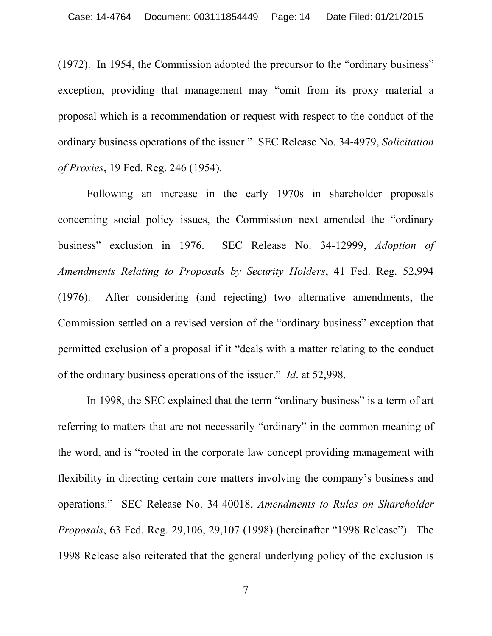(1972). In 1954, the Commission adopted the precursor to the "ordinary business" exception, providing that management may "omit from its proxy material a proposal which is a recommendation or request with respect to the conduct of the ordinary business operations of the issuer." SEC Release No. 34-4979, *Solicitation of Proxies*, 19 Fed. Reg. 246 (1954).

 Following an increase in the early 1970s in shareholder proposals concerning social policy issues, the Commission next amended the "ordinary business" exclusion in 1976. SEC Release No. 34-12999, *Adoption of Amendments Relating to Proposals by Security Holders*, 41 Fed. Reg. 52,994 (1976). After considering (and rejecting) two alternative amendments, the Commission settled on a revised version of the "ordinary business" exception that permitted exclusion of a proposal if it "deals with a matter relating to the conduct of the ordinary business operations of the issuer." *Id*. at 52,998.

In 1998, the SEC explained that the term "ordinary business" is a term of art referring to matters that are not necessarily "ordinary" in the common meaning of the word, and is "rooted in the corporate law concept providing management with flexibility in directing certain core matters involving the company's business and operations." SEC Release No. 34-40018, *Amendments to Rules on Shareholder Proposals*, 63 Fed. Reg. 29,106, 29,107 (1998) (hereinafter "1998 Release"). The 1998 Release also reiterated that the general underlying policy of the exclusion is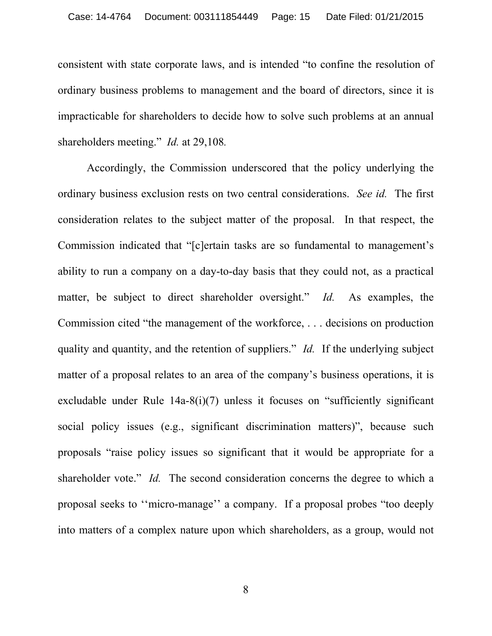consistent with state corporate laws, and is intended "to confine the resolution of ordinary business problems to management and the board of directors, since it is impracticable for shareholders to decide how to solve such problems at an annual shareholders meeting." *Id.* at 29,108*.*

 Accordingly, the Commission underscored that the policy underlying the ordinary business exclusion rests on two central considerations. *See id.* The first consideration relates to the subject matter of the proposal. In that respect, the Commission indicated that "[c]ertain tasks are so fundamental to management's ability to run a company on a day-to-day basis that they could not, as a practical matter, be subject to direct shareholder oversight." *Id.* As examples, the Commission cited "the management of the workforce, . . . decisions on production quality and quantity, and the retention of suppliers." *Id.* If the underlying subject matter of a proposal relates to an area of the company's business operations, it is excludable under Rule 14a-8(i)(7) unless it focuses on "sufficiently significant social policy issues (e.g., significant discrimination matters)", because such proposals "raise policy issues so significant that it would be appropriate for a shareholder vote." *Id.* The second consideration concerns the degree to which a proposal seeks to ''micro-manage'' a company. If a proposal probes "too deeply into matters of a complex nature upon which shareholders, as a group, would not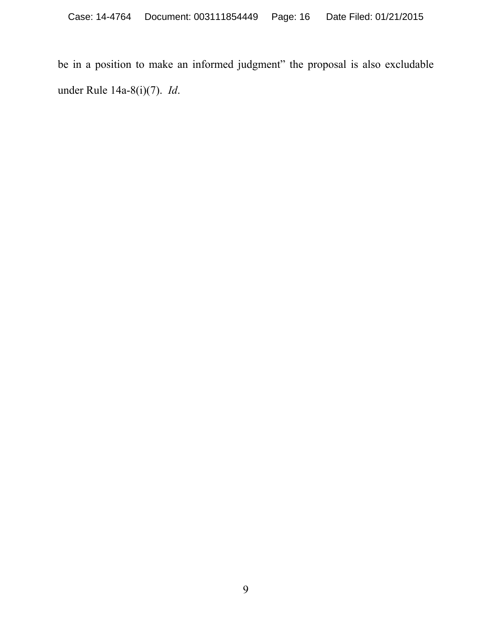be in a position to make an informed judgment" the proposal is also excludable under Rule 14a-8(i)(7). *Id*.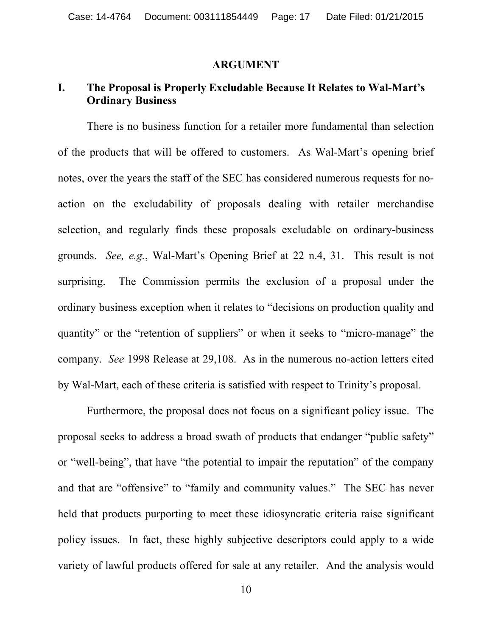#### **ARGUMENT**

## **I. The Proposal is Properly Excludable Because It Relates to Wal-Mart's Ordinary Business**

 There is no business function for a retailer more fundamental than selection of the products that will be offered to customers. As Wal-Mart's opening brief notes, over the years the staff of the SEC has considered numerous requests for noaction on the excludability of proposals dealing with retailer merchandise selection, and regularly finds these proposals excludable on ordinary-business grounds. *See, e.g.*, Wal-Mart's Opening Brief at 22 n.4, 31. This result is not surprising. The Commission permits the exclusion of a proposal under the ordinary business exception when it relates to "decisions on production quality and quantity" or the "retention of suppliers" or when it seeks to "micro-manage" the company. *See* 1998 Release at 29,108. As in the numerous no-action letters cited by Wal-Mart, each of these criteria is satisfied with respect to Trinity's proposal.

 Furthermore, the proposal does not focus on a significant policy issue. The proposal seeks to address a broad swath of products that endanger "public safety" or "well-being", that have "the potential to impair the reputation" of the company and that are "offensive" to "family and community values." The SEC has never held that products purporting to meet these idiosyncratic criteria raise significant policy issues. In fact, these highly subjective descriptors could apply to a wide variety of lawful products offered for sale at any retailer. And the analysis would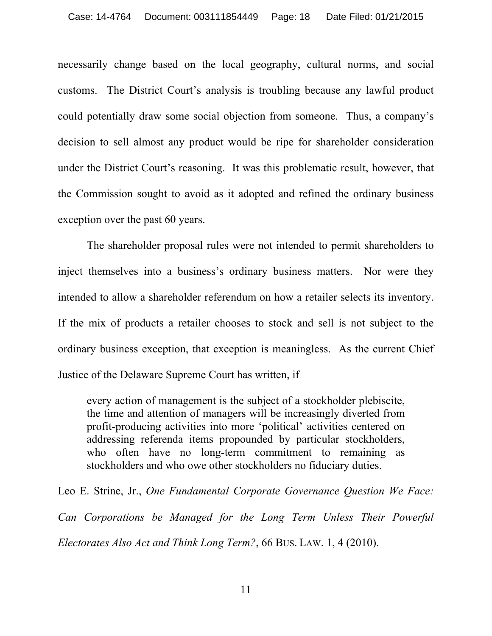necessarily change based on the local geography, cultural norms, and social customs. The District Court's analysis is troubling because any lawful product could potentially draw some social objection from someone. Thus, a company's decision to sell almost any product would be ripe for shareholder consideration under the District Court's reasoning. It was this problematic result, however, that the Commission sought to avoid as it adopted and refined the ordinary business exception over the past 60 years.

 The shareholder proposal rules were not intended to permit shareholders to inject themselves into a business's ordinary business matters. Nor were they intended to allow a shareholder referendum on how a retailer selects its inventory. If the mix of products a retailer chooses to stock and sell is not subject to the ordinary business exception, that exception is meaningless. As the current Chief Justice of the Delaware Supreme Court has written, if

every action of management is the subject of a stockholder plebiscite, the time and attention of managers will be increasingly diverted from profit-producing activities into more 'political' activities centered on addressing referenda items propounded by particular stockholders, who often have no long-term commitment to remaining as stockholders and who owe other stockholders no fiduciary duties.

Leo E. Strine, Jr., *One Fundamental Corporate Governance Question We Face: Can Corporations be Managed for the Long Term Unless Their Powerful Electorates Also Act and Think Long Term?*, 66 BUS. LAW. 1, 4 (2010).

11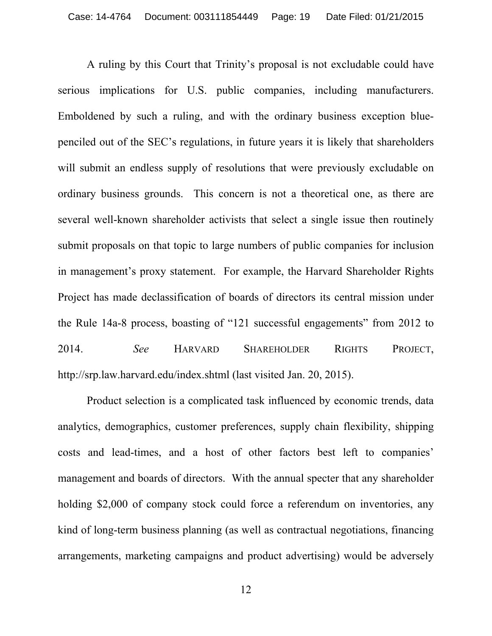A ruling by this Court that Trinity's proposal is not excludable could have serious implications for U.S. public companies, including manufacturers. Emboldened by such a ruling, and with the ordinary business exception bluepenciled out of the SEC's regulations, in future years it is likely that shareholders will submit an endless supply of resolutions that were previously excludable on ordinary business grounds. This concern is not a theoretical one, as there are several well-known shareholder activists that select a single issue then routinely submit proposals on that topic to large numbers of public companies for inclusion in management's proxy statement. For example, the Harvard Shareholder Rights Project has made declassification of boards of directors its central mission under the Rule 14a-8 process, boasting of "121 successful engagements" from 2012 to 2014. *See* HARVARD SHAREHOLDER RIGHTS PROJECT, http://srp.law.harvard.edu/index.shtml (last visited Jan. 20, 2015).

 Product selection is a complicated task influenced by economic trends, data analytics, demographics, customer preferences, supply chain flexibility, shipping costs and lead-times, and a host of other factors best left to companies' management and boards of directors. With the annual specter that any shareholder holding \$2,000 of company stock could force a referendum on inventories, any kind of long-term business planning (as well as contractual negotiations, financing arrangements, marketing campaigns and product advertising) would be adversely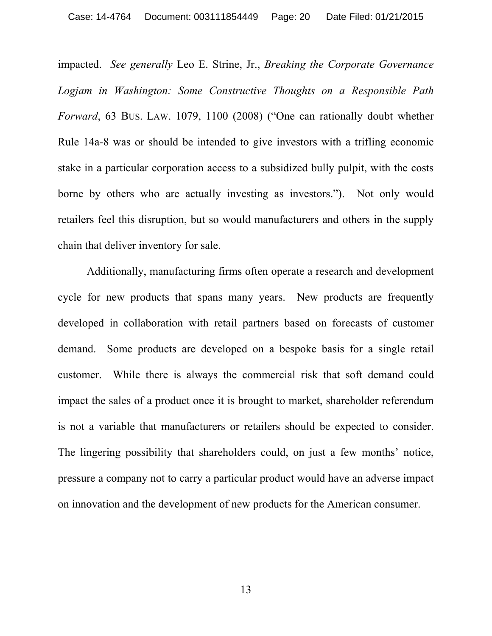impacted. *See generally* Leo E. Strine, Jr., *Breaking the Corporate Governance Logjam in Washington: Some Constructive Thoughts on a Responsible Path Forward*, 63 BUS. LAW. 1079, 1100 (2008) ("One can rationally doubt whether Rule 14a-8 was or should be intended to give investors with a trifling economic stake in a particular corporation access to a subsidized bully pulpit, with the costs borne by others who are actually investing as investors."). Not only would retailers feel this disruption, but so would manufacturers and others in the supply chain that deliver inventory for sale.

 Additionally, manufacturing firms often operate a research and development cycle for new products that spans many years. New products are frequently developed in collaboration with retail partners based on forecasts of customer demand. Some products are developed on a bespoke basis for a single retail customer. While there is always the commercial risk that soft demand could impact the sales of a product once it is brought to market, shareholder referendum is not a variable that manufacturers or retailers should be expected to consider. The lingering possibility that shareholders could, on just a few months' notice, pressure a company not to carry a particular product would have an adverse impact on innovation and the development of new products for the American consumer.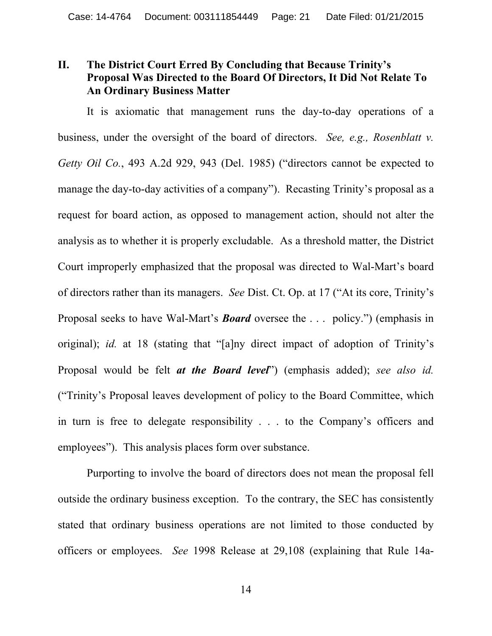### **II. The District Court Erred By Concluding that Because Trinity's Proposal Was Directed to the Board Of Directors, It Did Not Relate To An Ordinary Business Matter**

 It is axiomatic that management runs the day-to-day operations of a business, under the oversight of the board of directors. *See, e.g., Rosenblatt v. Getty Oil Co.*, 493 A.2d 929, 943 (Del. 1985) ("directors cannot be expected to manage the day-to-day activities of a company"). Recasting Trinity's proposal as a request for board action, as opposed to management action, should not alter the analysis as to whether it is properly excludable. As a threshold matter, the District Court improperly emphasized that the proposal was directed to Wal-Mart's board of directors rather than its managers. *See* Dist. Ct. Op. at 17 ("At its core, Trinity's Proposal seeks to have Wal-Mart's *Board* oversee the . . . policy.") (emphasis in original); *id.* at 18 (stating that "[a]ny direct impact of adoption of Trinity's Proposal would be felt *at the Board level*") (emphasis added); *see also id.* ("Trinity's Proposal leaves development of policy to the Board Committee, which in turn is free to delegate responsibility . . . to the Company's officers and employees"). This analysis places form over substance.

 Purporting to involve the board of directors does not mean the proposal fell outside the ordinary business exception. To the contrary, the SEC has consistently stated that ordinary business operations are not limited to those conducted by officers or employees. *See* 1998 Release at 29,108 (explaining that Rule 14a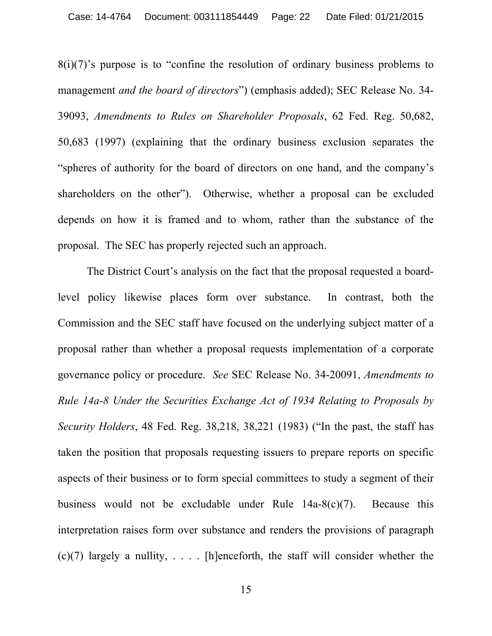$8(i)(7)$ 's purpose is to "confine the resolution of ordinary business problems to management *and the board of directors*") (emphasis added); SEC Release No. 34- 39093, *Amendments to Rules on Shareholder Proposals*, 62 Fed. Reg. 50,682, 50,683 (1997) (explaining that the ordinary business exclusion separates the "spheres of authority for the board of directors on one hand, and the company's shareholders on the other"). Otherwise, whether a proposal can be excluded depends on how it is framed and to whom, rather than the substance of the proposal. The SEC has properly rejected such an approach.

 The District Court's analysis on the fact that the proposal requested a boardlevel policy likewise places form over substance. In contrast, both the Commission and the SEC staff have focused on the underlying subject matter of a proposal rather than whether a proposal requests implementation of a corporate governance policy or procedure. *See* SEC Release No. 34-20091, *Amendments to Rule 14a-8 Under the Securities Exchange Act of 1934 Relating to Proposals by Security Holders*, 48 Fed. Reg. 38,218, 38,221 (1983) ("In the past, the staff has taken the position that proposals requesting issuers to prepare reports on specific aspects of their business or to form special committees to study a segment of their business would not be excludable under Rule 14a-8(c)(7). Because this interpretation raises form over substance and renders the provisions of paragraph (c)(7) largely a nullity,  $\ldots$ . [h]enceforth, the staff will consider whether the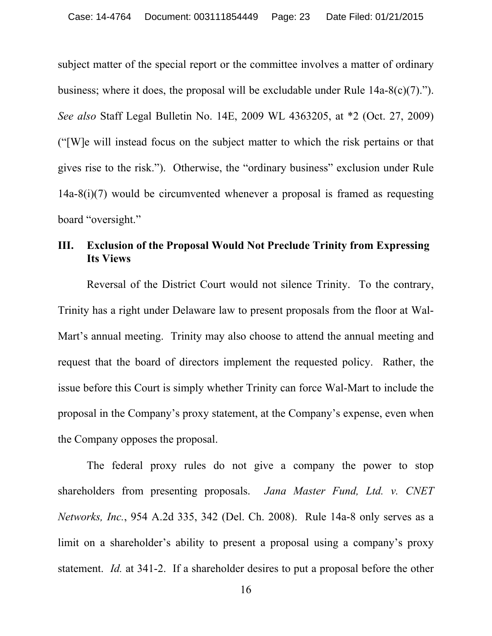subject matter of the special report or the committee involves a matter of ordinary business; where it does, the proposal will be excludable under Rule 14a-8(c)(7)."). *See also* Staff Legal Bulletin No. 14E, 2009 WL 4363205, at \*2 (Oct. 27, 2009) ("[W]e will instead focus on the subject matter to which the risk pertains or that gives rise to the risk."). Otherwise, the "ordinary business" exclusion under Rule 14a-8(i)(7) would be circumvented whenever a proposal is framed as requesting board "oversight."

## **III. Exclusion of the Proposal Would Not Preclude Trinity from Expressing Its Views**

 Reversal of the District Court would not silence Trinity. To the contrary, Trinity has a right under Delaware law to present proposals from the floor at Wal-Mart's annual meeting. Trinity may also choose to attend the annual meeting and request that the board of directors implement the requested policy. Rather, the issue before this Court is simply whether Trinity can force Wal-Mart to include the proposal in the Company's proxy statement, at the Company's expense, even when the Company opposes the proposal.

 The federal proxy rules do not give a company the power to stop shareholders from presenting proposals. *Jana Master Fund, Ltd. v. CNET Networks, Inc.*, 954 A.2d 335, 342 (Del. Ch. 2008). Rule 14a-8 only serves as a limit on a shareholder's ability to present a proposal using a company's proxy statement. *Id.* at 341-2. If a shareholder desires to put a proposal before the other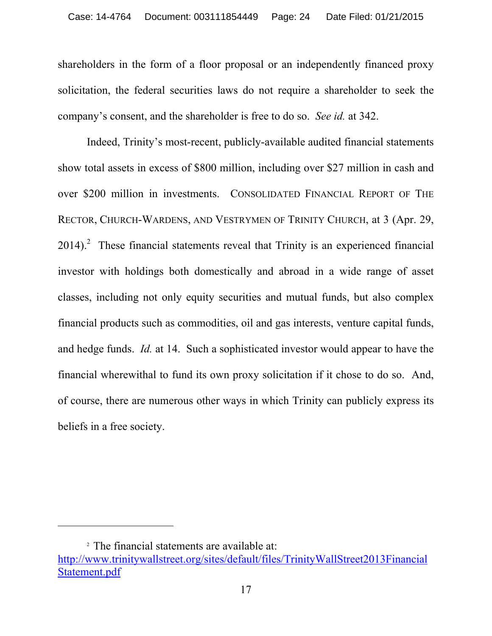shareholders in the form of a floor proposal or an independently financed proxy solicitation, the federal securities laws do not require a shareholder to seek the company's consent, and the shareholder is free to do so. *See id.* at 342.

 Indeed, Trinity's most-recent, publicly-available audited financial statements show total assets in excess of \$800 million, including over \$27 million in cash and over \$200 million in investments. CONSOLIDATED FINANCIAL REPORT OF THE RECTOR, CHURCH-WARDENS, AND VESTRYMEN OF TRINITY CHURCH, at 3 (Apr. 29,  $2014$ ).<sup>2</sup> These financial statements reveal that Trinity is an experienced financial investor with holdings both domestically and abroad in a wide range of asset classes, including not only equity securities and mutual funds, but also complex financial products such as commodities, oil and gas interests, venture capital funds, and hedge funds. *Id.* at 14. Such a sophisticated investor would appear to have the financial wherewithal to fund its own proxy solicitation if it chose to do so. And, of course, there are numerous other ways in which Trinity can publicly express its beliefs in a free society.

l

<sup>2</sup> The financial statements are available at: http://www.trinitywallstreet.org/sites/default/files/TrinityWallStreet2013Financial Statement.pdf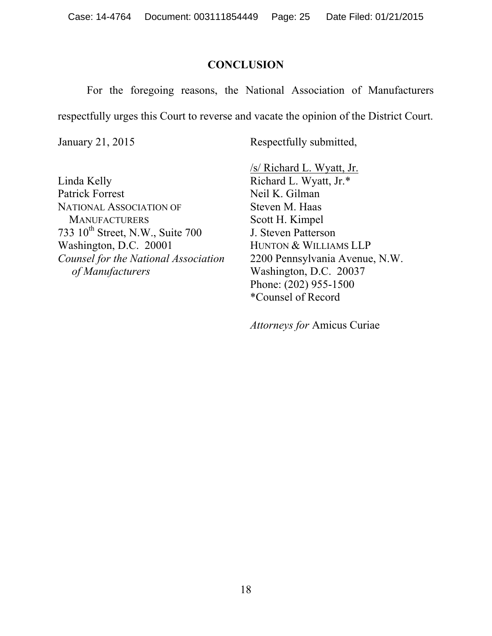### **CONCLUSION**

 For the foregoing reasons, the National Association of Manufacturers respectfully urges this Court to reverse and vacate the opinion of the District Court.

January 21, 2015

Respectfully submitted,

Linda Kelly Patrick Forrest NATIONAL ASSOCIATION OF MANUFACTURERS 733 10<sup>th</sup> Street, N.W., Suite 700 Washington, D.C. 20001 *Counsel for the National Association of Manufacturers* 

/s/ Richard L. Wyatt, Jr. Richard L. Wyatt, Jr.\* Neil K. Gilman Steven M. Haas Scott H. Kimpel J. Steven Patterson HUNTON & WILLIAMS LLP 2200 Pennsylvania Avenue, N.W. Washington, D.C. 20037 Phone: (202) 955-1500 \*Counsel of Record

*Attorneys for* Amicus Curiae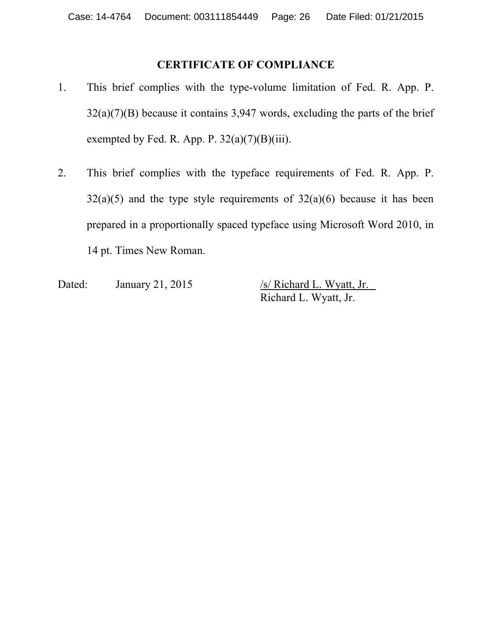# **CERTIFICATE OF COMPLIANCE**

- 1. This brief complies with the type-volume limitation of Fed. R. App. P.  $32(a)(7)(B)$  because it contains 3,947 words, excluding the parts of the brief exempted by Fed. R. App. P.  $32(a)(7)(B)(iii)$ .
- 2. This brief complies with the typeface requirements of Fed. R. App. P.  $32(a)(5)$  and the type style requirements of  $32(a)(6)$  because it has been prepared in a proportionally spaced typeface using Microsoft Word 2010, in 14 pt. Times New Roman.

Dated: January 21, 2015 /s/ Richard L. Wyatt, Jr.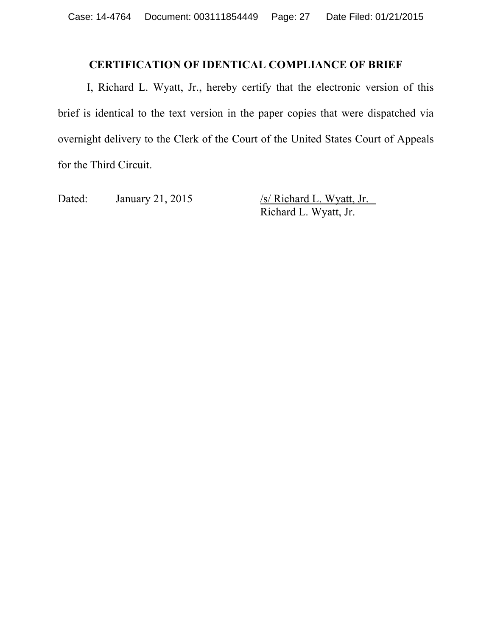# **CERTIFICATION OF IDENTICAL COMPLIANCE OF BRIEF**

I, Richard L. Wyatt, Jr., hereby certify that the electronic version of this brief is identical to the text version in the paper copies that were dispatched via overnight delivery to the Clerk of the Court of the United States Court of Appeals for the Third Circuit.

Dated: January 21, 2015 /s/ Richard L. Wyatt, Jr.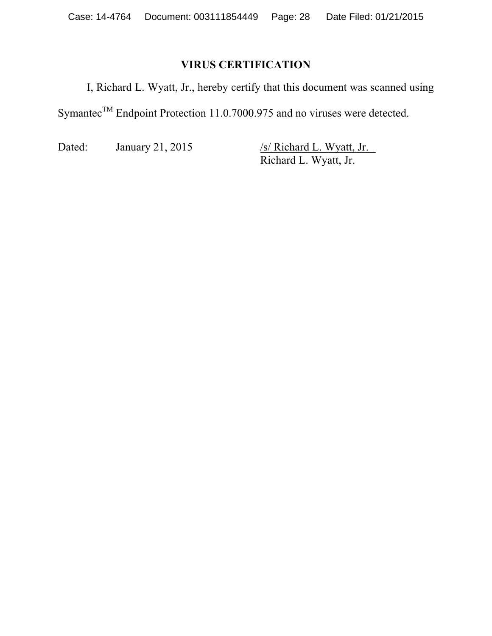# **VIRUS CERTIFICATION**

I, Richard L. Wyatt, Jr., hereby certify that this document was scanned using Symantec<sup>TM</sup> Endpoint Protection 11.0.7000.975 and no viruses were detected.

Dated: January 21, 2015 /s/ Richard L. Wyatt, Jr.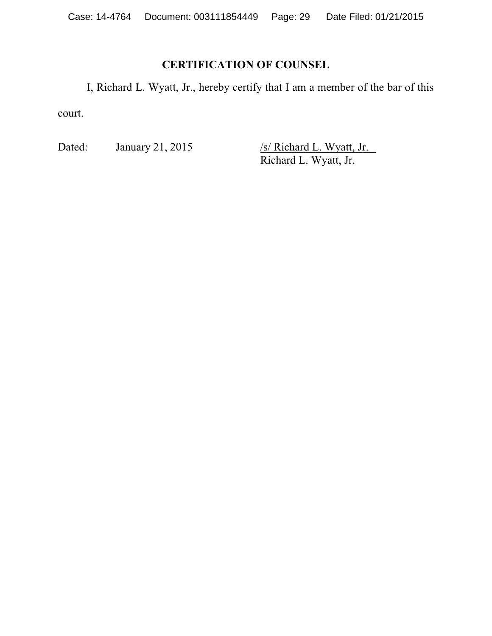# **CERTIFICATION OF COUNSEL**

I, Richard L. Wyatt, Jr., hereby certify that I am a member of the bar of this court.

Dated: January 21, 2015 /s/ Richard L. Wyatt, Jr.